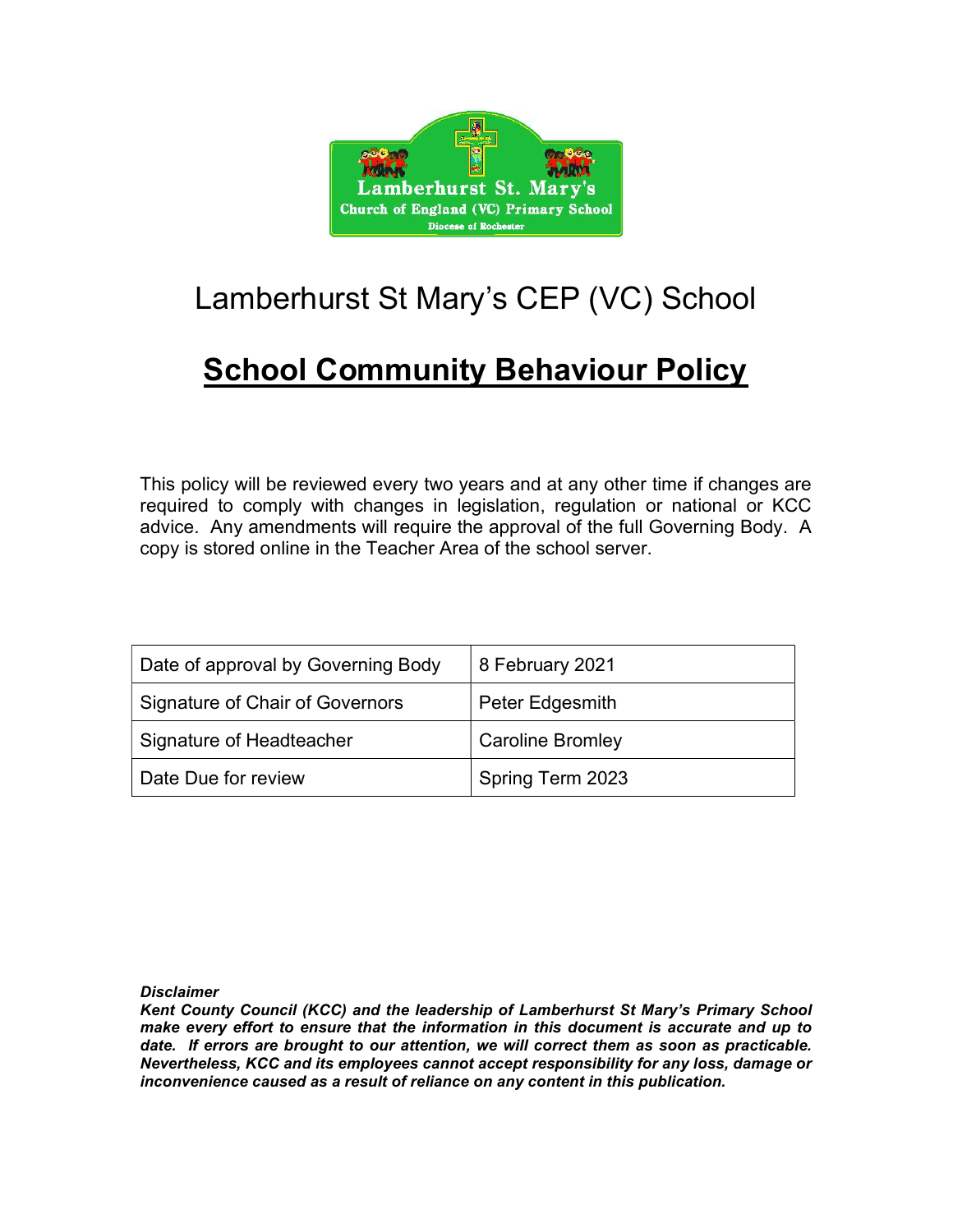

# Lamberhurst St Mary's CEP (VC) School

## **School Community Behaviour Policy**

This policy will be reviewed every two years and at any other time if changes are required to comply with changes in legislation, regulation or national or KCC advice. Any amendments will require the approval of the full Governing Body. A copy is stored online in the Teacher Area of the school server.

| Date of approval by Governing Body | 8 February 2021         |
|------------------------------------|-------------------------|
| Signature of Chair of Governors    | Peter Edgesmith         |
| Signature of Headteacher           | <b>Caroline Bromley</b> |
| Date Due for review                | Spring Term 2023        |

**Disclaimer** 

Kent County Council (KCC) and the leadership of Lamberhurst St Mary's Primary School make every effort to ensure that the information in this document is accurate and up to date. If errors are brought to our attention, we will correct them as soon as practicable. Nevertheless, KCC and its employees cannot accept responsibility for any loss, damage or inconvenience caused as a result of reliance on any content in this publication.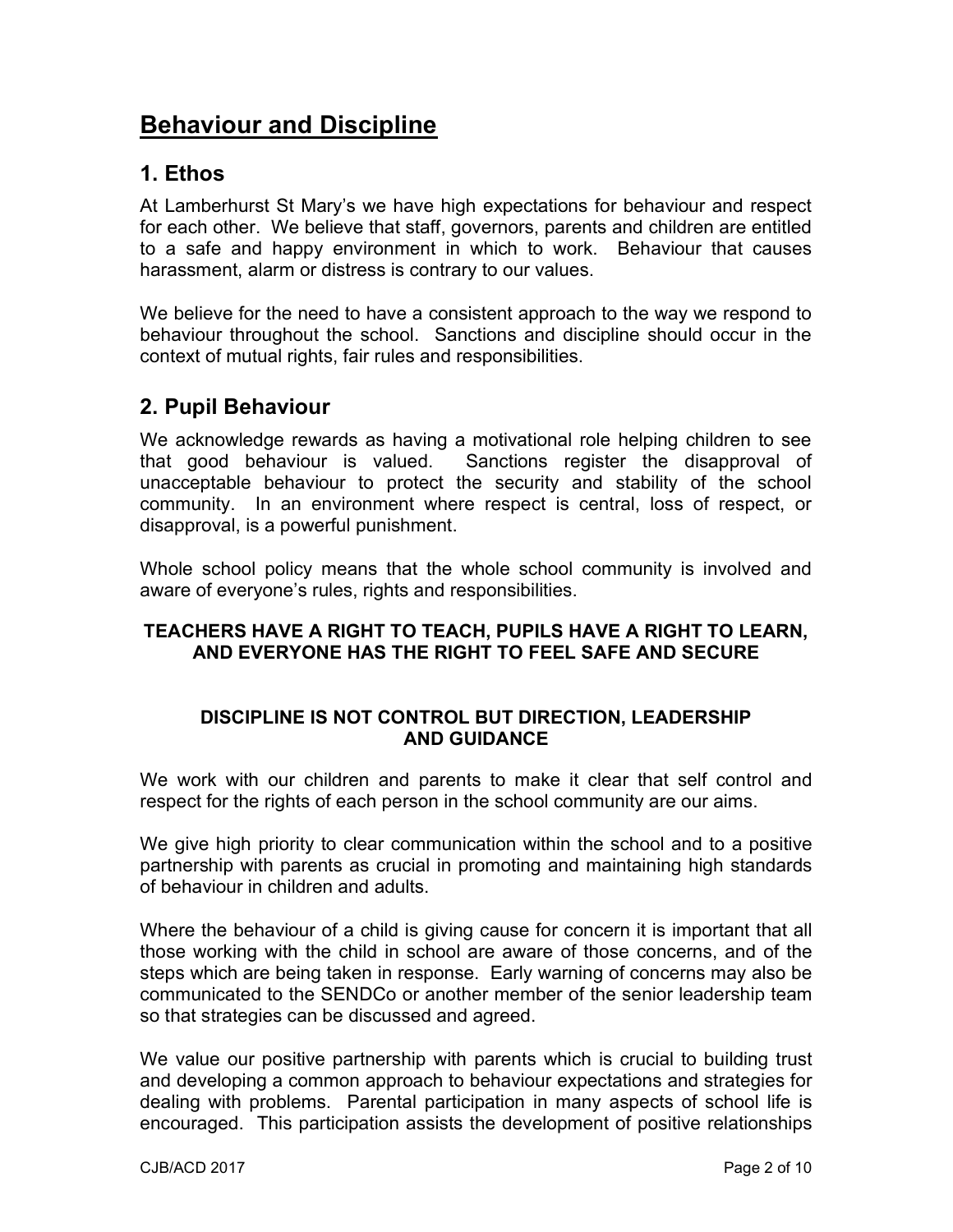## Behaviour and Discipline

## 1. Ethos

At Lamberhurst St Mary's we have high expectations for behaviour and respect for each other. We believe that staff, governors, parents and children are entitled to a safe and happy environment in which to work. Behaviour that causes harassment, alarm or distress is contrary to our values.

We believe for the need to have a consistent approach to the way we respond to behaviour throughout the school. Sanctions and discipline should occur in the context of mutual rights, fair rules and responsibilities.

## 2. Pupil Behaviour

We acknowledge rewards as having a motivational role helping children to see that good behaviour is valued. Sanctions register the disapproval of unacceptable behaviour to protect the security and stability of the school community. In an environment where respect is central, loss of respect, or disapproval, is a powerful punishment.

Whole school policy means that the whole school community is involved and aware of everyone's rules, rights and responsibilities.

#### TEACHERS HAVE A RIGHT TO TEACH, PUPILS HAVE A RIGHT TO LEARN, AND EVERYONE HAS THE RIGHT TO FEEL SAFE AND SECURE

#### DISCIPLINE IS NOT CONTROL BUT DIRECTION, LEADERSHIP AND GUIDANCE

We work with our children and parents to make it clear that self control and respect for the rights of each person in the school community are our aims.

We give high priority to clear communication within the school and to a positive partnership with parents as crucial in promoting and maintaining high standards of behaviour in children and adults.

Where the behaviour of a child is giving cause for concern it is important that all those working with the child in school are aware of those concerns, and of the steps which are being taken in response. Early warning of concerns may also be communicated to the SENDCo or another member of the senior leadership team so that strategies can be discussed and agreed.

We value our positive partnership with parents which is crucial to building trust and developing a common approach to behaviour expectations and strategies for dealing with problems. Parental participation in many aspects of school life is encouraged. This participation assists the development of positive relationships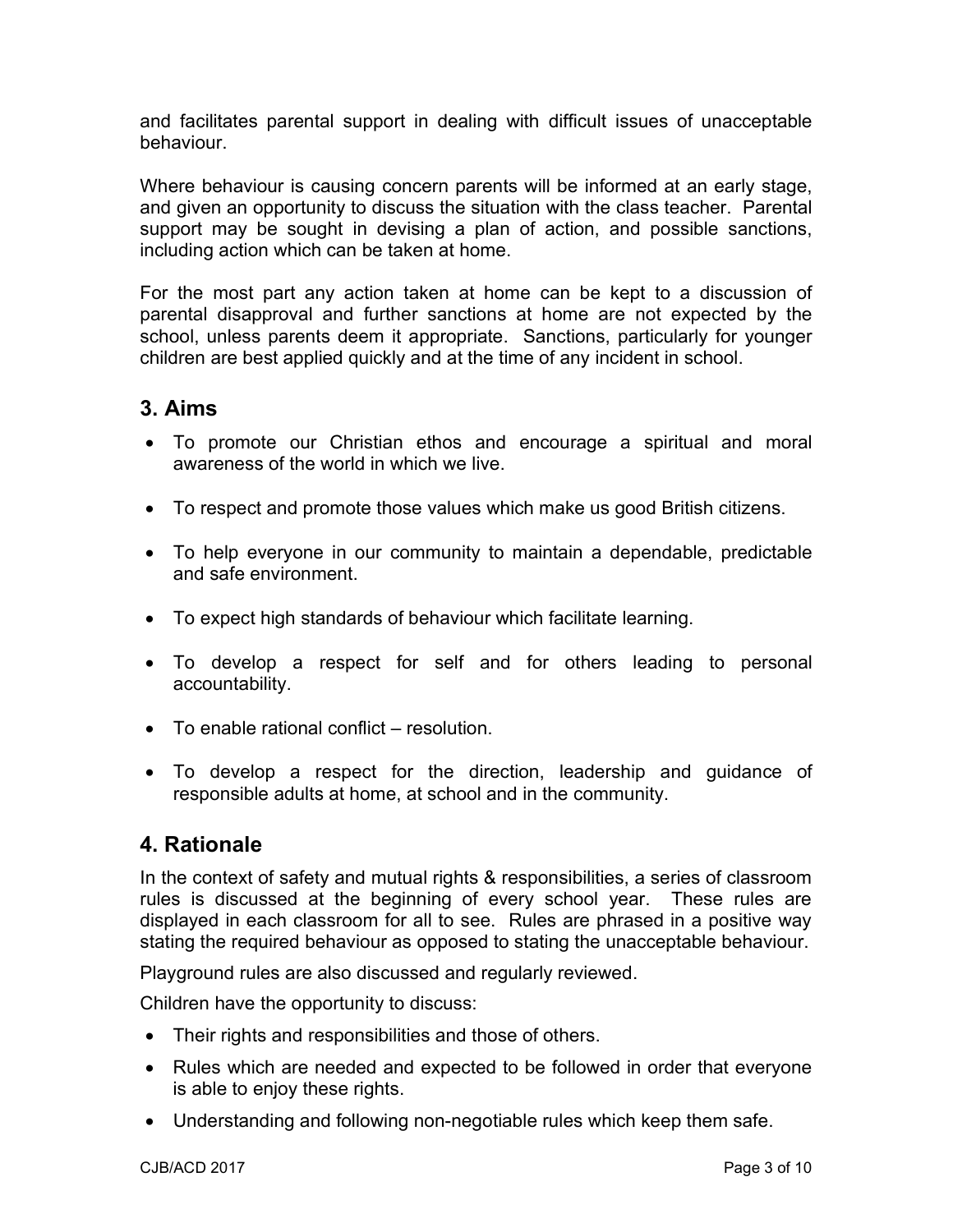and facilitates parental support in dealing with difficult issues of unacceptable behaviour.

Where behaviour is causing concern parents will be informed at an early stage, and given an opportunity to discuss the situation with the class teacher. Parental support may be sought in devising a plan of action, and possible sanctions, including action which can be taken at home.

For the most part any action taken at home can be kept to a discussion of parental disapproval and further sanctions at home are not expected by the school, unless parents deem it appropriate. Sanctions, particularly for younger children are best applied quickly and at the time of any incident in school.

## 3. Aims

- To promote our Christian ethos and encourage a spiritual and moral awareness of the world in which we live.
- To respect and promote those values which make us good British citizens.
- To help everyone in our community to maintain a dependable, predictable and safe environment.
- To expect high standards of behaviour which facilitate learning.
- To develop a respect for self and for others leading to personal accountability.
- To enable rational conflict resolution.
- To develop a respect for the direction, leadership and guidance of responsible adults at home, at school and in the community.

## 4. Rationale

In the context of safety and mutual rights & responsibilities, a series of classroom rules is discussed at the beginning of every school year. These rules are displayed in each classroom for all to see. Rules are phrased in a positive way stating the required behaviour as opposed to stating the unacceptable behaviour.

Playground rules are also discussed and regularly reviewed.

Children have the opportunity to discuss:

- Their rights and responsibilities and those of others.
- Rules which are needed and expected to be followed in order that everyone is able to enjoy these rights.
- Understanding and following non-negotiable rules which keep them safe.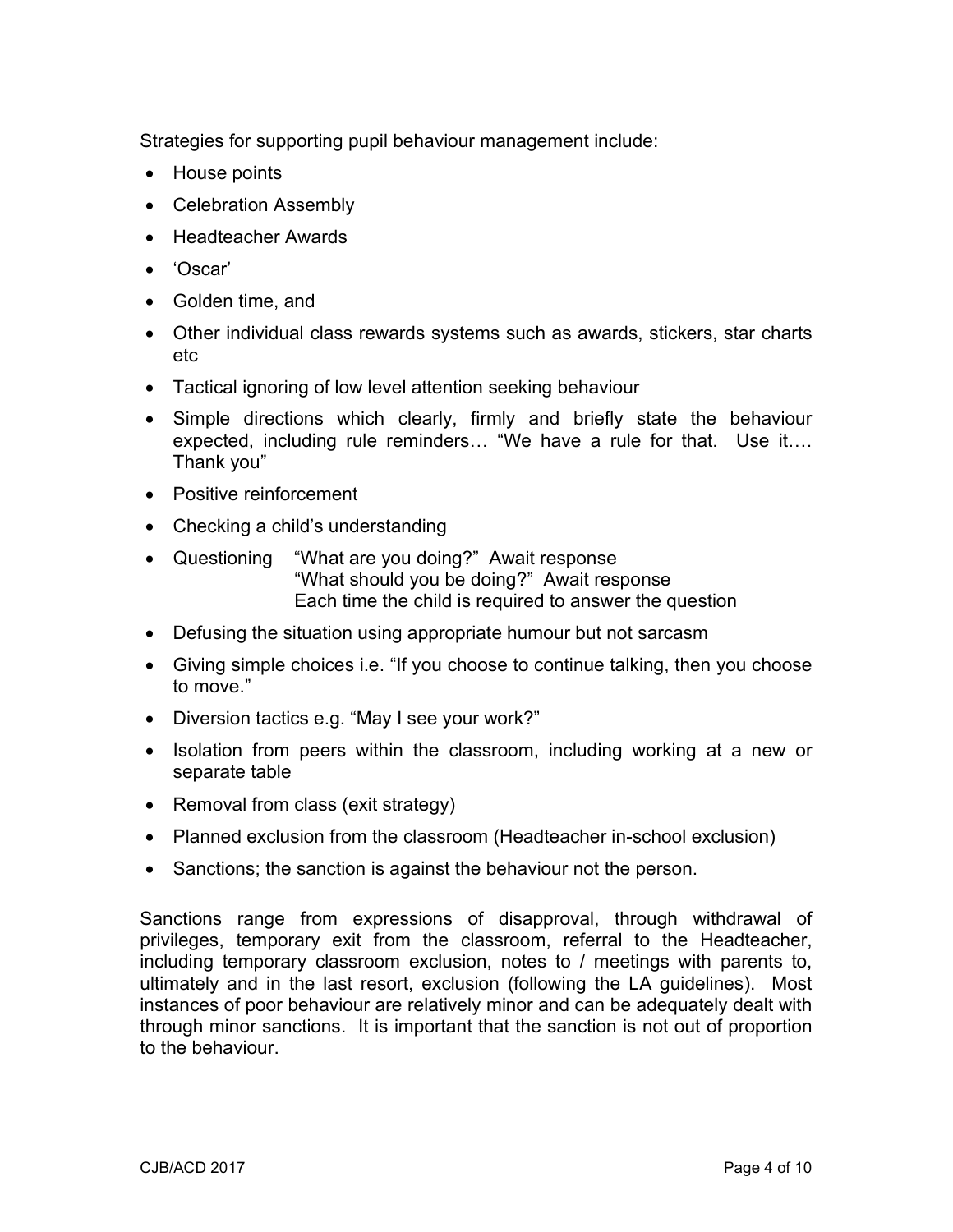Strategies for supporting pupil behaviour management include:

- House points
- Celebration Assembly
- Headteacher Awards
- 'Oscar'
- Golden time, and
- Other individual class rewards systems such as awards, stickers, star charts etc
- Tactical ignoring of low level attention seeking behaviour
- Simple directions which clearly, firmly and briefly state the behaviour expected, including rule reminders… "We have a rule for that. Use it…. Thank you"
- Positive reinforcement
- Checking a child's understanding
- Questioning "What are you doing?" Await response "What should you be doing?" Await response Each time the child is required to answer the question
- Defusing the situation using appropriate humour but not sarcasm
- Giving simple choices i.e. "If you choose to continue talking, then you choose to move."
- Diversion tactics e.g. "May I see your work?"
- Isolation from peers within the classroom, including working at a new or separate table
- Removal from class (exit strategy)
- Planned exclusion from the classroom (Headteacher in-school exclusion)
- Sanctions; the sanction is against the behaviour not the person.

Sanctions range from expressions of disapproval, through withdrawal of privileges, temporary exit from the classroom, referral to the Headteacher, including temporary classroom exclusion, notes to / meetings with parents to, ultimately and in the last resort, exclusion (following the LA guidelines). Most instances of poor behaviour are relatively minor and can be adequately dealt with through minor sanctions. It is important that the sanction is not out of proportion to the behaviour.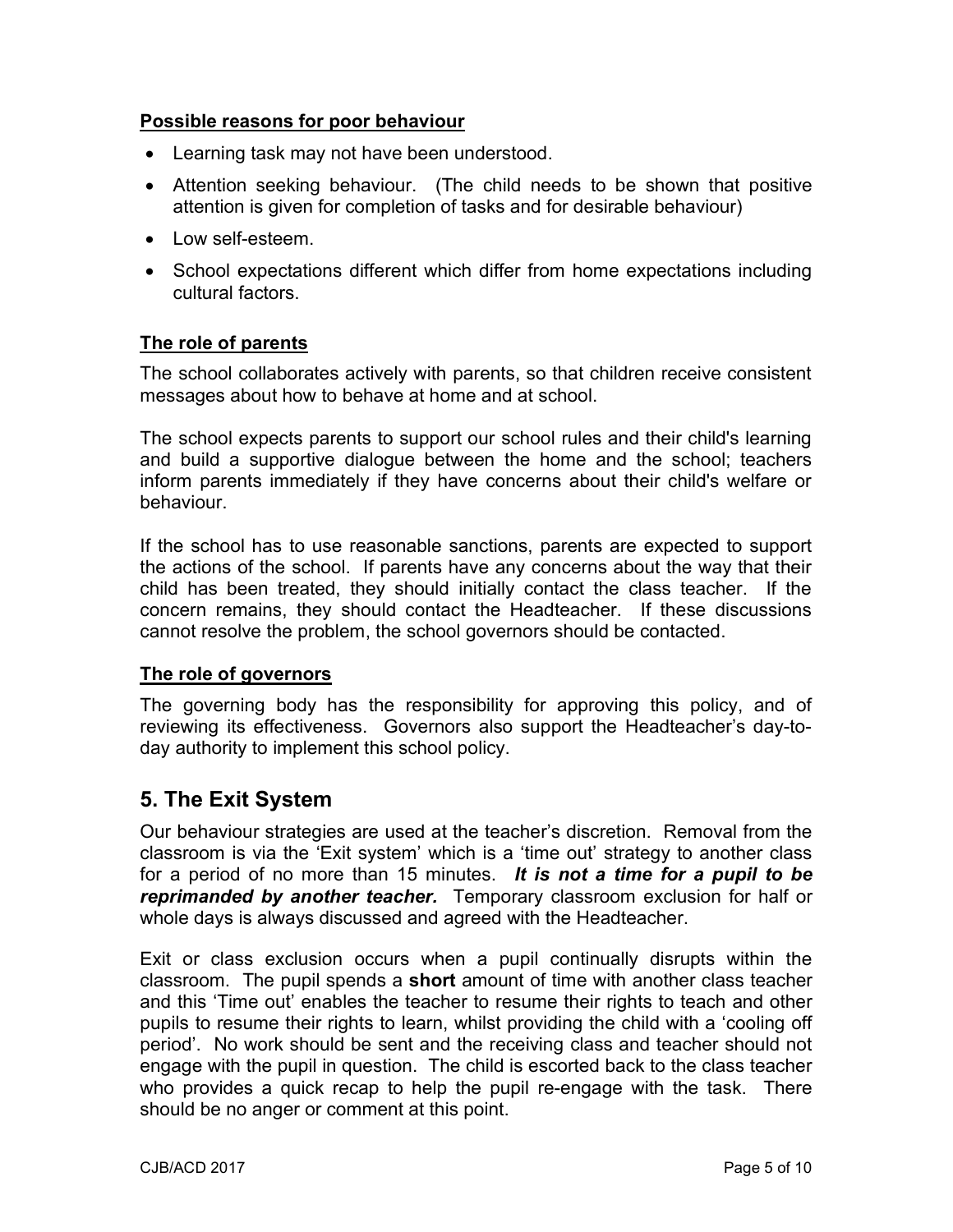#### Possible reasons for poor behaviour

- Learning task may not have been understood.
- Attention seeking behaviour. (The child needs to be shown that positive attention is given for completion of tasks and for desirable behaviour)
- $\bullet$  Low self-esteem.
- School expectations different which differ from home expectations including cultural factors.

#### The role of parents

The school collaborates actively with parents, so that children receive consistent messages about how to behave at home and at school.

The school expects parents to support our school rules and their child's learning and build a supportive dialogue between the home and the school; teachers inform parents immediately if they have concerns about their child's welfare or behaviour.

If the school has to use reasonable sanctions, parents are expected to support the actions of the school. If parents have any concerns about the way that their child has been treated, they should initially contact the class teacher. If the concern remains, they should contact the Headteacher. If these discussions cannot resolve the problem, the school governors should be contacted.

#### The role of governors

The governing body has the responsibility for approving this policy, and of reviewing its effectiveness. Governors also support the Headteacher's day-today authority to implement this school policy.

### 5. The Exit System

Our behaviour strategies are used at the teacher's discretion. Removal from the classroom is via the 'Exit system' which is a 'time out' strategy to another class for a period of no more than 15 minutes. It is not a time for a pupil to be **reprimanded by another teacher.** Temporary classroom exclusion for half or whole days is always discussed and agreed with the Headteacher.

Exit or class exclusion occurs when a pupil continually disrupts within the classroom. The pupil spends a short amount of time with another class teacher and this 'Time out' enables the teacher to resume their rights to teach and other pupils to resume their rights to learn, whilst providing the child with a 'cooling off period'. No work should be sent and the receiving class and teacher should not engage with the pupil in question. The child is escorted back to the class teacher who provides a quick recap to help the pupil re-engage with the task. There should be no anger or comment at this point.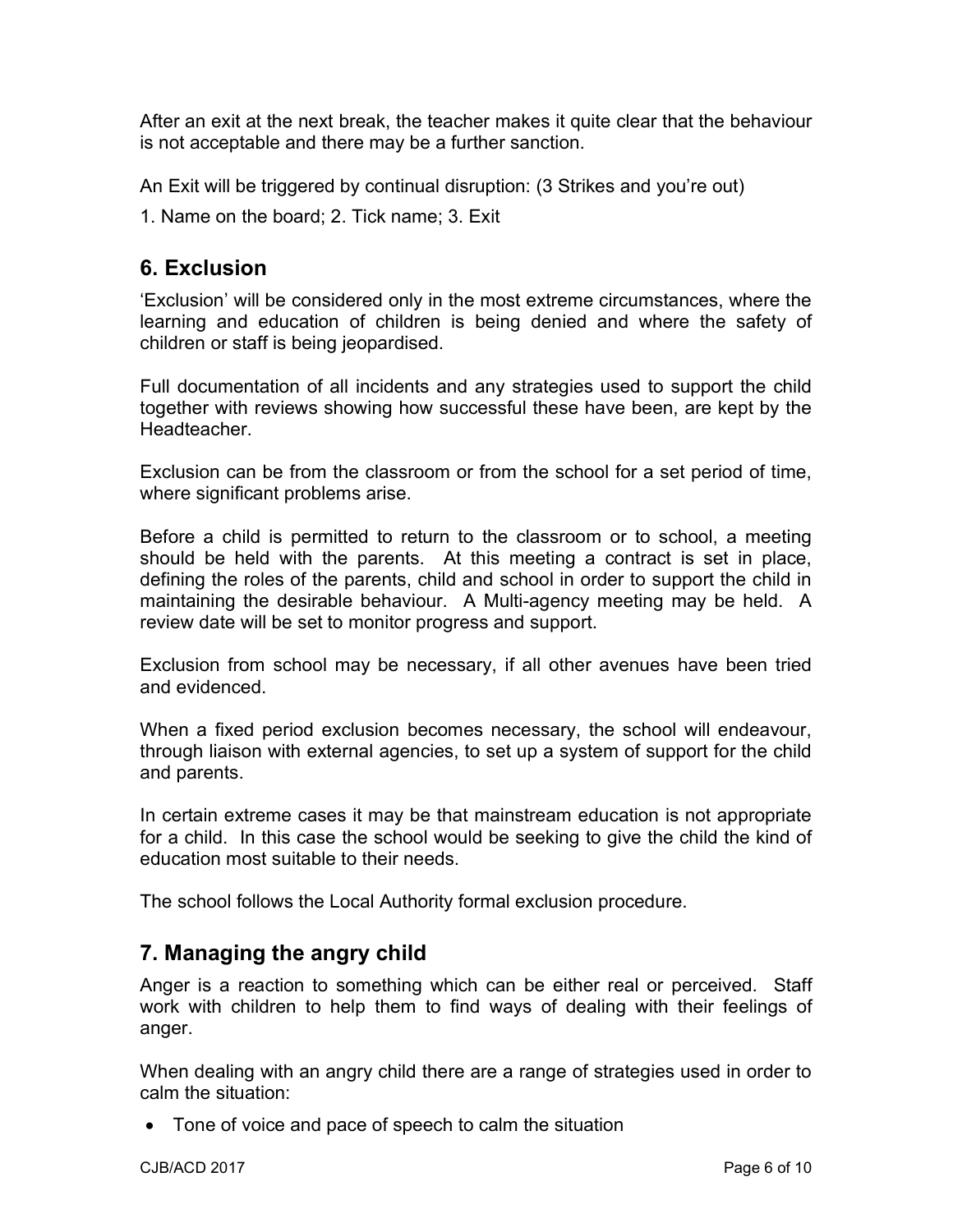After an exit at the next break, the teacher makes it quite clear that the behaviour is not acceptable and there may be a further sanction.

An Exit will be triggered by continual disruption: (3 Strikes and you're out)

1. Name on the board; 2. Tick name; 3. Exit

## 6. Exclusion

'Exclusion' will be considered only in the most extreme circumstances, where the learning and education of children is being denied and where the safety of children or staff is being jeopardised.

Full documentation of all incidents and any strategies used to support the child together with reviews showing how successful these have been, are kept by the **Headteacher** 

Exclusion can be from the classroom or from the school for a set period of time, where significant problems arise.

Before a child is permitted to return to the classroom or to school, a meeting should be held with the parents. At this meeting a contract is set in place, defining the roles of the parents, child and school in order to support the child in maintaining the desirable behaviour. A Multi-agency meeting may be held. A review date will be set to monitor progress and support.

Exclusion from school may be necessary, if all other avenues have been tried and evidenced.

When a fixed period exclusion becomes necessary, the school will endeavour, through liaison with external agencies, to set up a system of support for the child and parents.

In certain extreme cases it may be that mainstream education is not appropriate for a child. In this case the school would be seeking to give the child the kind of education most suitable to their needs.

The school follows the Local Authority formal exclusion procedure.

## 7. Managing the angry child

Anger is a reaction to something which can be either real or perceived. Staff work with children to help them to find ways of dealing with their feelings of anger.

When dealing with an angry child there are a range of strategies used in order to calm the situation:

• Tone of voice and pace of speech to calm the situation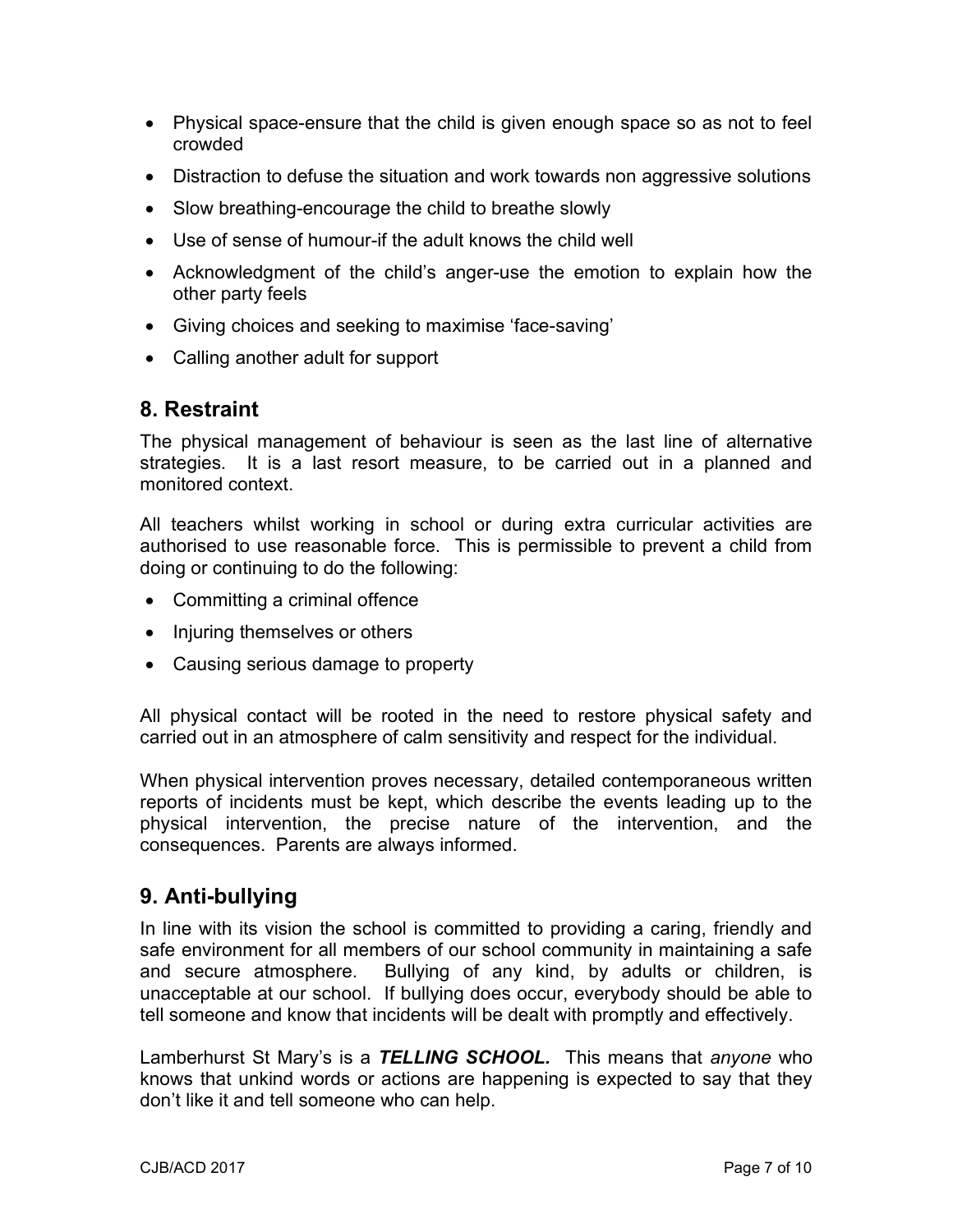- Physical space-ensure that the child is given enough space so as not to feel crowded
- Distraction to defuse the situation and work towards non aggressive solutions
- Slow breathing-encourage the child to breathe slowly
- Use of sense of humour-if the adult knows the child well
- Acknowledgment of the child's anger-use the emotion to explain how the other party feels
- Giving choices and seeking to maximise 'face-saving'
- Calling another adult for support

## 8. Restraint

The physical management of behaviour is seen as the last line of alternative strategies. It is a last resort measure, to be carried out in a planned and monitored context.

All teachers whilst working in school or during extra curricular activities are authorised to use reasonable force. This is permissible to prevent a child from doing or continuing to do the following:

- Committing a criminal offence
- Injuring themselves or others
- Causing serious damage to property

All physical contact will be rooted in the need to restore physical safety and carried out in an atmosphere of calm sensitivity and respect for the individual.

When physical intervention proves necessary, detailed contemporaneous written reports of incidents must be kept, which describe the events leading up to the physical intervention, the precise nature of the intervention, and the consequences. Parents are always informed.

## 9. Anti-bullying

In line with its vision the school is committed to providing a caring, friendly and safe environment for all members of our school community in maintaining a safe and secure atmosphere. Bullying of any kind, by adults or children, is unacceptable at our school. If bullying does occur, everybody should be able to tell someone and know that incidents will be dealt with promptly and effectively.

Lamberhurst St Mary's is a TELLING SCHOOL. This means that anyone who knows that unkind words or actions are happening is expected to say that they don't like it and tell someone who can help.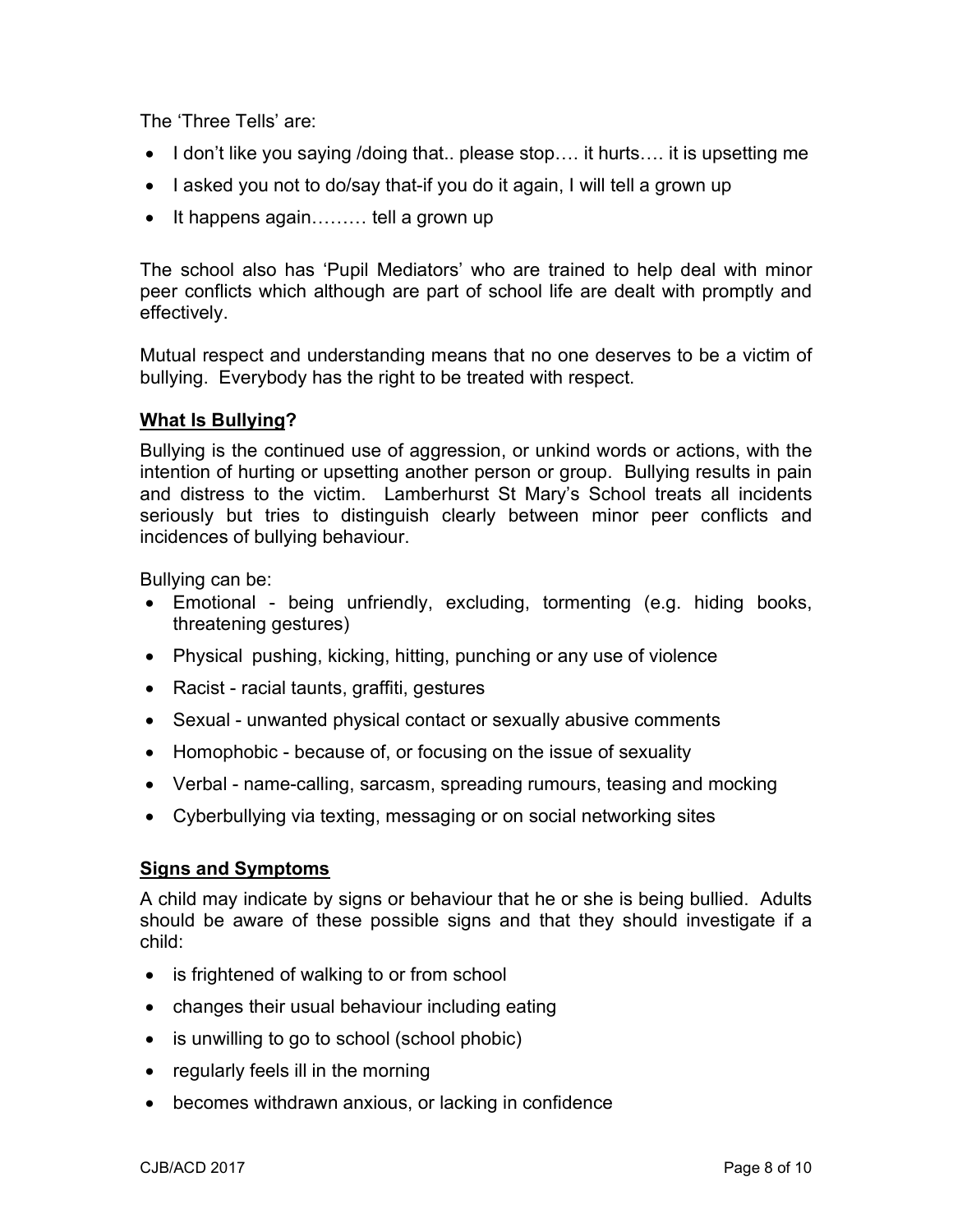The 'Three Tells' are:

- I don't like you saying /doing that.. please stop.... it hurts.... it is upsetting me
- I asked you not to do/say that-if you do it again, I will tell a grown up
- $\bullet$  It happens again........ tell a grown up

The school also has 'Pupil Mediators' who are trained to help deal with minor peer conflicts which although are part of school life are dealt with promptly and effectively.

Mutual respect and understanding means that no one deserves to be a victim of bullying. Everybody has the right to be treated with respect.

#### What Is Bullying?

Bullying is the continued use of aggression, or unkind words or actions, with the intention of hurting or upsetting another person or group. Bullying results in pain and distress to the victim. Lamberhurst St Mary's School treats all incidents seriously but tries to distinguish clearly between minor peer conflicts and incidences of bullying behaviour.

Bullying can be:

- Emotional being unfriendly, excluding, tormenting (e.g. hiding books, threatening gestures)
- Physical pushing, kicking, hitting, punching or any use of violence
- Racist racial taunts, graffiti, gestures
- Sexual unwanted physical contact or sexually abusive comments
- Homophobic because of, or focusing on the issue of sexuality
- Verbal name-calling, sarcasm, spreading rumours, teasing and mocking
- Cyberbullying via texting, messaging or on social networking sites

#### Signs and Symptoms

A child may indicate by signs or behaviour that he or she is being bullied. Adults should be aware of these possible signs and that they should investigate if a child:

- is frightened of walking to or from school
- changes their usual behaviour including eating
- is unwilling to go to school (school phobic)
- $\bullet$  regularly feels ill in the morning
- becomes withdrawn anxious, or lacking in confidence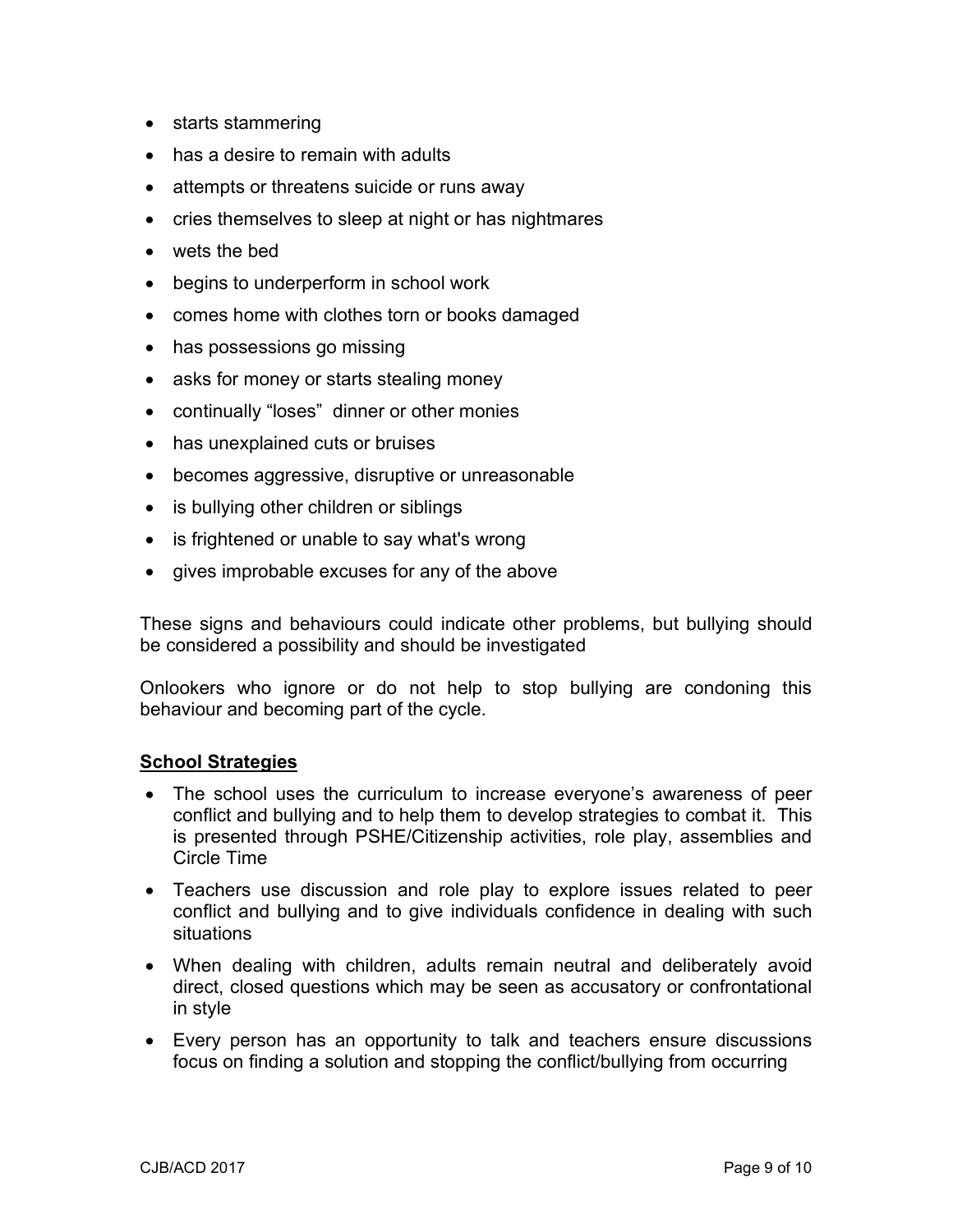- starts stammering
- has a desire to remain with adults
- attempts or threatens suicide or runs away
- cries themselves to sleep at night or has nightmares
- wets the bed
- begins to underperform in school work
- comes home with clothes torn or books damaged
- has possessions go missing
- asks for money or starts stealing money
- continually "loses" dinner or other monies
- has unexplained cuts or bruises
- becomes aggressive, disruptive or unreasonable
- is bullying other children or siblings
- is frightened or unable to say what's wrong
- gives improbable excuses for any of the above

These signs and behaviours could indicate other problems, but bullying should be considered a possibility and should be investigated

Onlookers who ignore or do not help to stop bullying are condoning this behaviour and becoming part of the cycle.

#### School Strategies

- The school uses the curriculum to increase everyone's awareness of peer conflict and bullying and to help them to develop strategies to combat it. This is presented through PSHE/Citizenship activities, role play, assemblies and Circle Time
- Teachers use discussion and role play to explore issues related to peer conflict and bullying and to give individuals confidence in dealing with such situations
- When dealing with children, adults remain neutral and deliberately avoid direct, closed questions which may be seen as accusatory or confrontational in style
- Every person has an opportunity to talk and teachers ensure discussions focus on finding a solution and stopping the conflict/bullying from occurring